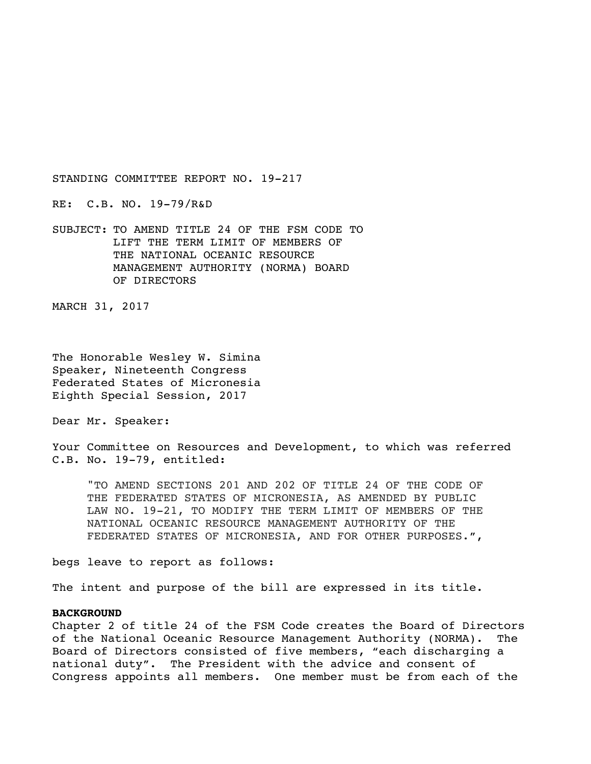RE: C.B. NO. 19-79/R&D

SUBJECT: TO AMEND TITLE 24 OF THE FSM CODE TO LIFT THE TERM LIMIT OF MEMBERS OF THE NATIONAL OCEANIC RESOURCE MANAGEMENT AUTHORITY (NORMA) BOARD OF DIRECTORS

MARCH 31, 2017

The Honorable Wesley W. Simina Speaker, Nineteenth Congress Federated States of Micronesia Eighth Special Session, 2017

Dear Mr. Speaker:

Your Committee on Resources and Development, to which was referred C.B. No. 19-79, entitled:

"TO AMEND SECTIONS 201 AND 202 OF TITLE 24 OF THE CODE OF THE FEDERATED STATES OF MICRONESIA, AS AMENDED BY PUBLIC LAW NO. 19-21, TO MODIFY THE TERM LIMIT OF MEMBERS OF THE NATIONAL OCEANIC RESOURCE MANAGEMENT AUTHORITY OF THE FEDERATED STATES OF MICRONESIA, AND FOR OTHER PURPOSES.",

begs leave to report as follows:

The intent and purpose of the bill are expressed in its title.

## **BACKGROUND**

Chapter 2 of title 24 of the FSM Code creates the Board of Directors of the National Oceanic Resource Management Authority (NORMA). The Board of Directors consisted of five members, "each discharging a national duty". The President with the advice and consent of Congress appoints all members. One member must be from each of the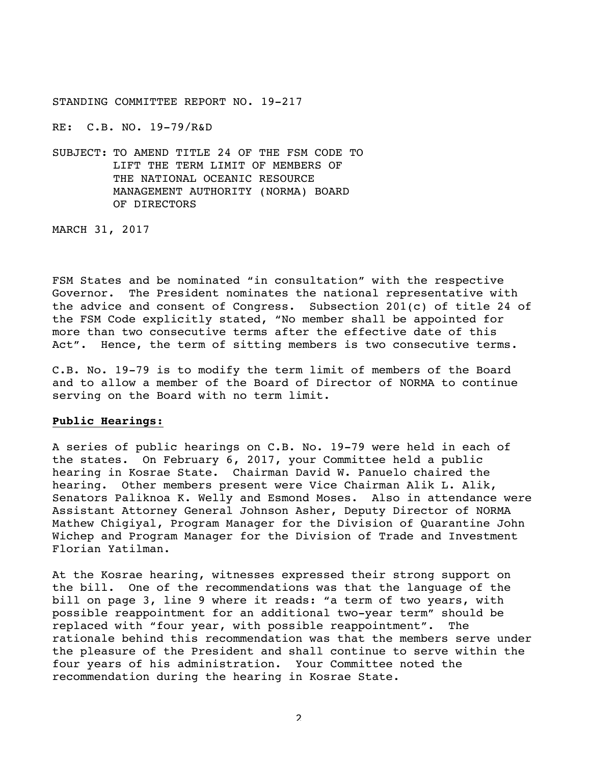RE: C.B. NO. 19-79/R&D

SUBJECT: TO AMEND TITLE 24 OF THE FSM CODE TO LIFT THE TERM LIMIT OF MEMBERS OF THE NATIONAL OCEANIC RESOURCE MANAGEMENT AUTHORITY (NORMA) BOARD OF DIRECTORS

MARCH 31, 2017

FSM States and be nominated "in consultation" with the respective Governor. The President nominates the national representative with the advice and consent of Congress. Subsection 201(c) of title 24 of the FSM Code explicitly stated, "No member shall be appointed for more than two consecutive terms after the effective date of this Act". Hence, the term of sitting members is two consecutive terms.

C.B. No. 19-79 is to modify the term limit of members of the Board and to allow a member of the Board of Director of NORMA to continue serving on the Board with no term limit.

## **Public Hearings:**

A series of public hearings on C.B. No. 19-79 were held in each of the states. On February 6, 2017, your Committee held a public hearing in Kosrae State. Chairman David W. Panuelo chaired the hearing. Other members present were Vice Chairman Alik L. Alik, Senators Paliknoa K. Welly and Esmond Moses. Also in attendance were Assistant Attorney General Johnson Asher, Deputy Director of NORMA Mathew Chigiyal, Program Manager for the Division of Quarantine John Wichep and Program Manager for the Division of Trade and Investment Florian Yatilman.

At the Kosrae hearing, witnesses expressed their strong support on the bill. One of the recommendations was that the language of the bill on page 3, line 9 where it reads: "a term of two years, with possible reappointment for an additional two-year term" should be replaced with "four year, with possible reappointment". The rationale behind this recommendation was that the members serve under the pleasure of the President and shall continue to serve within the four years of his administration. Your Committee noted the recommendation during the hearing in Kosrae State.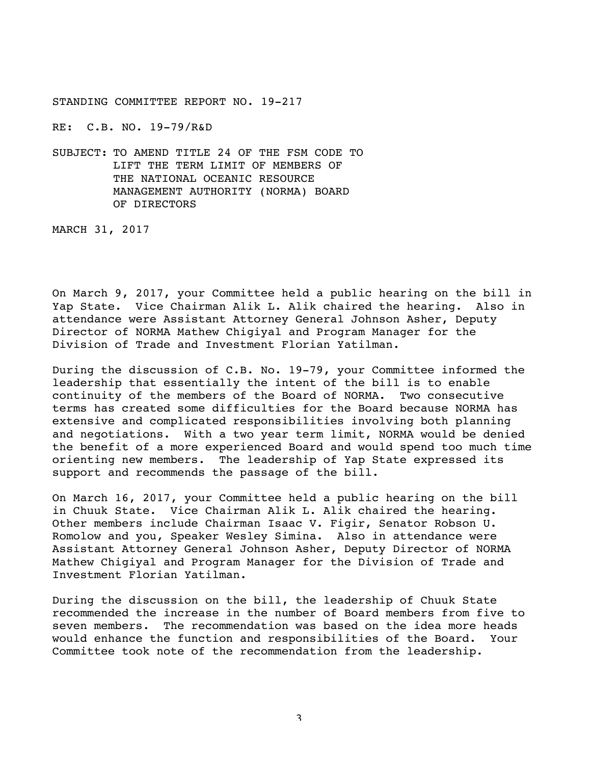RE: C.B. NO. 19-79/R&D

SUBJECT: TO AMEND TITLE 24 OF THE FSM CODE TO LIFT THE TERM LIMIT OF MEMBERS OF THE NATIONAL OCEANIC RESOURCE MANAGEMENT AUTHORITY (NORMA) BOARD OF DIRECTORS

MARCH 31, 2017

On March 9, 2017, your Committee held a public hearing on the bill in Yap State. Vice Chairman Alik L. Alik chaired the hearing. Also in attendance were Assistant Attorney General Johnson Asher, Deputy Director of NORMA Mathew Chigiyal and Program Manager for the Division of Trade and Investment Florian Yatilman.

During the discussion of C.B. No. 19-79, your Committee informed the leadership that essentially the intent of the bill is to enable continuity of the members of the Board of NORMA. Two consecutive terms has created some difficulties for the Board because NORMA has extensive and complicated responsibilities involving both planning and negotiations. With a two year term limit, NORMA would be denied the benefit of a more experienced Board and would spend too much time orienting new members. The leadership of Yap State expressed its support and recommends the passage of the bill.

On March 16, 2017, your Committee held a public hearing on the bill in Chuuk State. Vice Chairman Alik L. Alik chaired the hearing. Other members include Chairman Isaac V. Figir, Senator Robson U. Romolow and you, Speaker Wesley Simina. Also in attendance were Assistant Attorney General Johnson Asher, Deputy Director of NORMA Mathew Chigiyal and Program Manager for the Division of Trade and Investment Florian Yatilman.

During the discussion on the bill, the leadership of Chuuk State recommended the increase in the number of Board members from five to seven members. The recommendation was based on the idea more heads would enhance the function and responsibilities of the Board. Your Committee took note of the recommendation from the leadership.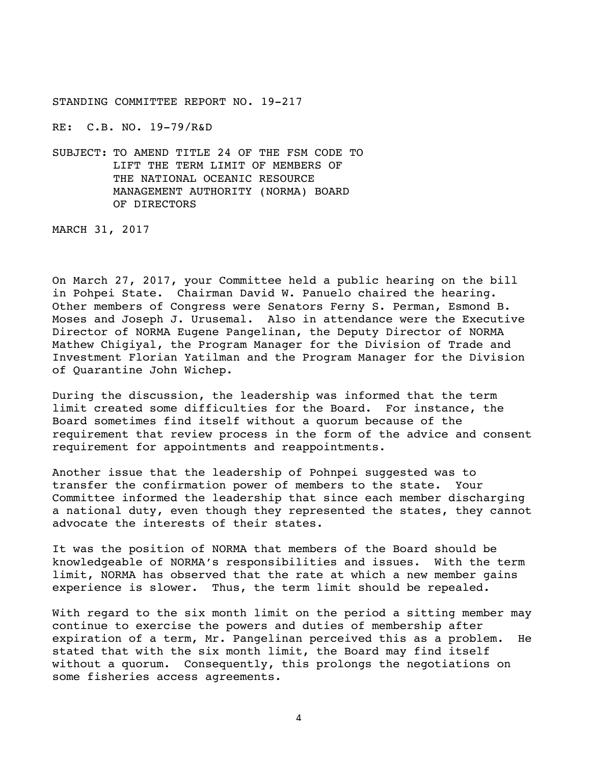RE: C.B. NO. 19-79/R&D

SUBJECT: TO AMEND TITLE 24 OF THE FSM CODE TO LIFT THE TERM LIMIT OF MEMBERS OF THE NATIONAL OCEANIC RESOURCE MANAGEMENT AUTHORITY (NORMA) BOARD OF DIRECTORS

MARCH 31, 2017

On March 27, 2017, your Committee held a public hearing on the bill in Pohpei State. Chairman David W. Panuelo chaired the hearing. Other members of Congress were Senators Ferny S. Perman, Esmond B. Moses and Joseph J. Urusemal. Also in attendance were the Executive Director of NORMA Eugene Pangelinan, the Deputy Director of NORMA Mathew Chigiyal, the Program Manager for the Division of Trade and Investment Florian Yatilman and the Program Manager for the Division of Quarantine John Wichep.

During the discussion, the leadership was informed that the term limit created some difficulties for the Board. For instance, the Board sometimes find itself without a quorum because of the requirement that review process in the form of the advice and consent requirement for appointments and reappointments.

Another issue that the leadership of Pohnpei suggested was to transfer the confirmation power of members to the state. Your Committee informed the leadership that since each member discharging a national duty, even though they represented the states, they cannot advocate the interests of their states.

It was the position of NORMA that members of the Board should be knowledgeable of NORMA's responsibilities and issues. With the term limit, NORMA has observed that the rate at which a new member gains experience is slower. Thus, the term limit should be repealed.

With regard to the six month limit on the period a sitting member may continue to exercise the powers and duties of membership after expiration of a term, Mr. Pangelinan perceived this as a problem. He stated that with the six month limit, the Board may find itself without a quorum. Consequently, this prolongs the negotiations on some fisheries access agreements.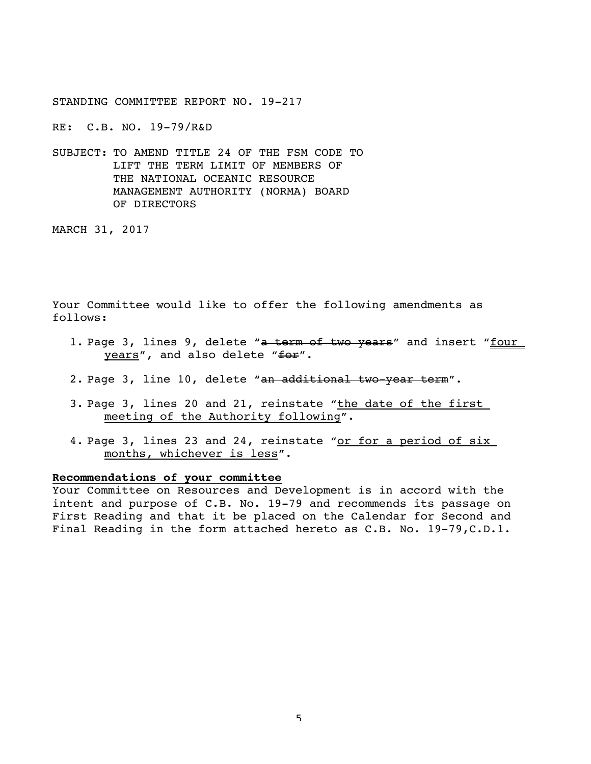RE: C.B. NO. 19-79/R&D

SUBJECT: TO AMEND TITLE 24 OF THE FSM CODE TO LIFT THE TERM LIMIT OF MEMBERS OF THE NATIONAL OCEANIC RESOURCE MANAGEMENT AUTHORITY (NORMA) BOARD OF DIRECTORS

MARCH 31, 2017

Your Committee would like to offer the following amendments as follows:

- 1. Page 3, lines 9, delete "a term of two years" and insert "four years", and also delete "for".
- 2. Page 3, line 10, delete "an additional two-year term".
- 3. Page 3, lines 20 and 21, reinstate "the date of the first meeting of the Authority following".
- 4. Page 3, lines 23 and 24, reinstate "or for a period of six months, whichever is less".

## **Recommendations of your committee**

Your Committee on Resources and Development is in accord with the intent and purpose of C.B. No. 19-79 and recommends its passage on First Reading and that it be placed on the Calendar for Second and Final Reading in the form attached hereto as C.B. No. 19-79,C.D.1.